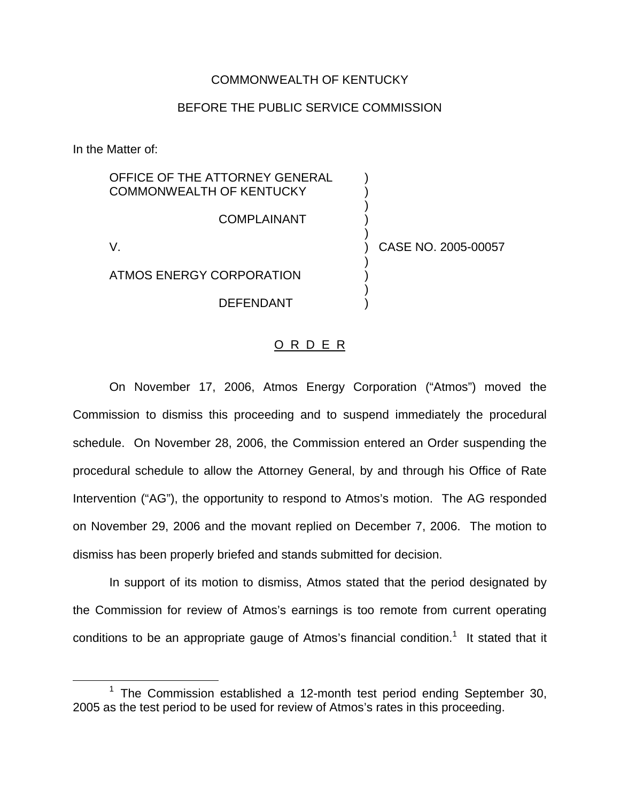### COMMONWEALTH OF KENTUCKY

### BEFORE THE PUBLIC SERVICE COMMISSION

In the Matter of:

OFFICE OF THE ATTORNEY GENERAL COMMONWEALTH OF KENTUCKY ) ) **COMPLAINANT** ) V. ) CASE NO. 2005-00057 )

ATMOS ENERGY CORPORATION )

**DEFENDANT** 

## O R D E R

)

On November 17, 2006, Atmos Energy Corporation ("Atmos") moved the Commission to dismiss this proceeding and to suspend immediately the procedural schedule. On November 28, 2006, the Commission entered an Order suspending the procedural schedule to allow the Attorney General, by and through his Office of Rate Intervention ("AG"), the opportunity to respond to Atmos's motion. The AG responded on November 29, 2006 and the movant replied on December 7, 2006. The motion to dismiss has been properly briefed and stands submitted for decision.

In support of its motion to dismiss, Atmos stated that the period designated by the Commission for review of Atmos's earnings is too remote from current operating conditions to be an appropriate gauge of Atmos's financial condition.<sup>1</sup> It stated that it

 $1$  The Commission established a 12-month test period ending September 30, 2005 as the test period to be used for review of Atmos's rates in this proceeding.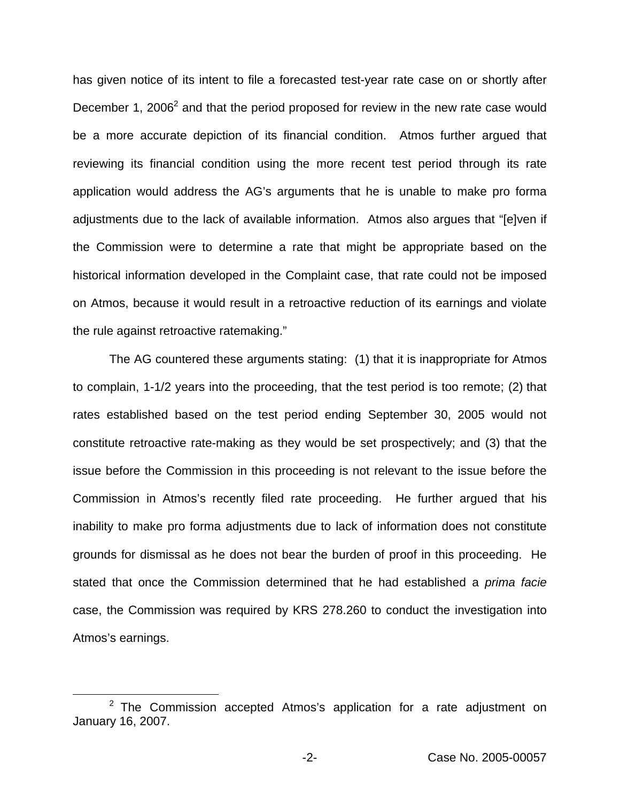has given notice of its intent to file a forecasted test-year rate case on or shortly after December 1, 2006<sup>2</sup> and that the period proposed for review in the new rate case would be a more accurate depiction of its financial condition. Atmos further argued that reviewing its financial condition using the more recent test period through its rate application would address the AG's arguments that he is unable to make pro forma adjustments due to the lack of available information. Atmos also argues that "[e]ven if the Commission were to determine a rate that might be appropriate based on the historical information developed in the Complaint case, that rate could not be imposed on Atmos, because it would result in a retroactive reduction of its earnings and violate the rule against retroactive ratemaking."

The AG countered these arguments stating: (1) that it is inappropriate for Atmos to complain, 1-1/2 years into the proceeding, that the test period is too remote; (2) that rates established based on the test period ending September 30, 2005 would not constitute retroactive rate-making as they would be set prospectively; and (3) that the issue before the Commission in this proceeding is not relevant to the issue before the Commission in Atmos's recently filed rate proceeding. He further argued that his inability to make pro forma adjustments due to lack of information does not constitute grounds for dismissal as he does not bear the burden of proof in this proceeding. He stated that once the Commission determined that he had established a *prima facie* case, the Commission was required by KRS 278.260 to conduct the investigation into Atmos's earnings.

 $2$  The Commission accepted Atmos's application for a rate adjustment on January 16, 2007.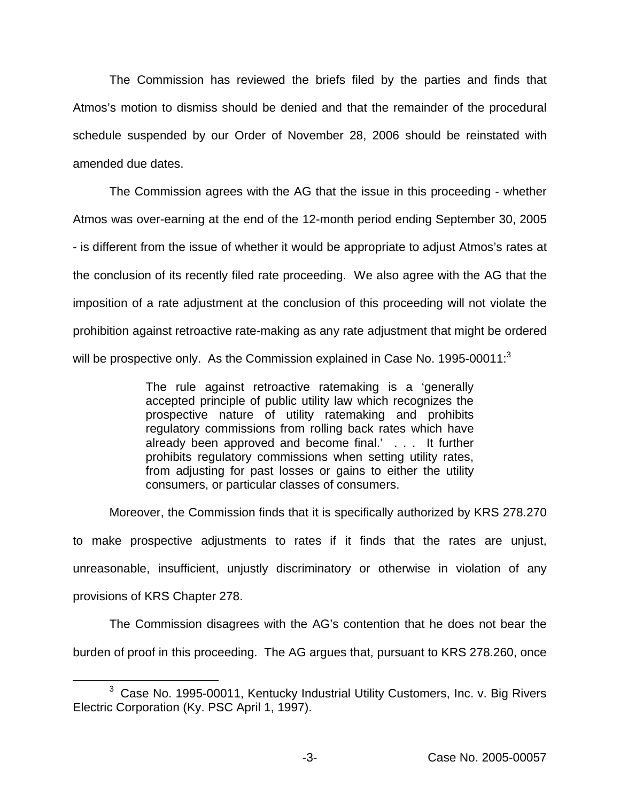The Commission has reviewed the briefs filed by the parties and finds that Atmos's motion to dismiss should be denied and that the remainder of the procedural schedule suspended by our Order of November 28, 2006 should be reinstated with amended due dates.

The Commission agrees with the AG that the issue in this proceeding - whether Atmos was over-earning at the end of the 12-month period ending September 30, 2005 - is different from the issue of whether it would be appropriate to adjust Atmos's rates at the conclusion of its recently filed rate proceeding. We also agree with the AG that the imposition of a rate adjustment at the conclusion of this proceeding will not violate the prohibition against retroactive rate-making as any rate adjustment that might be ordered will be prospective only. As the Commission explained in Case No. 1995-00011:<sup>3</sup>

> The rule against retroactive ratemaking is a 'generally accepted principle of public utility law which recognizes the prospective nature of utility ratemaking and prohibits regulatory commissions from rolling back rates which have already been approved and become final.' . . . It further prohibits regulatory commissions when setting utility rates, from adjusting for past losses or gains to either the utility consumers, or particular classes of consumers.

Moreover, the Commission finds that it is specifically authorized by KRS 278.270 to make prospective adjustments to rates if it finds that the rates are unjust, unreasonable, insufficient, unjustly discriminatory or otherwise in violation of any provisions of KRS Chapter 278.

The Commission disagrees with the AG's contention that he does not bear the burden of proof in this proceeding. The AG argues that, pursuant to KRS 278.260, once

<sup>&</sup>lt;sup>3</sup> Case No. 1995-00011, Kentucky Industrial Utility Customers, Inc. v. Big Rivers Electric Corporation (Ky. PSC April 1, 1997).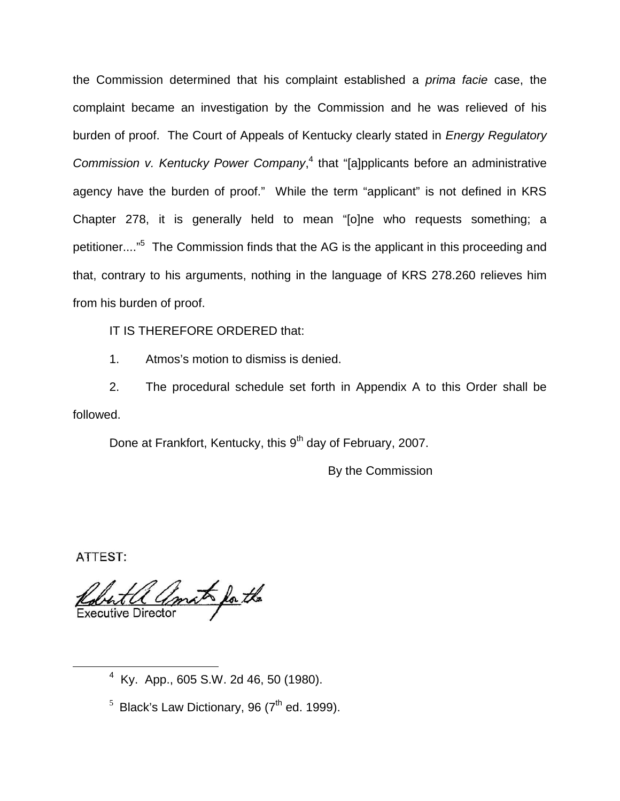the Commission determined that his complaint established a *prima facie* case, the complaint became an investigation by the Commission and he was relieved of his burden of proof. The Court of Appeals of Kentucky clearly stated in *Energy Regulatory Commission v. Kentucky Power Company*, <sup>4</sup> that "[a]pplicants before an administrative agency have the burden of proof." While the term "applicant" is not defined in KRS Chapter 278, it is generally held to mean "[o]ne who requests something; a petitioner...."<sup>5</sup> The Commission finds that the AG is the applicant in this proceeding and that, contrary to his arguments, nothing in the language of KRS 278.260 relieves him from his burden of proof.

IT IS THEREFORE ORDERED that:

1. Atmos's motion to dismiss is denied.

2. The procedural schedule set forth in Appendix A to this Order shall be followed.

Done at Frankfort, Kentucky, this 9<sup>th</sup> day of February, 2007.

By the Commission

ATTEST:

amato for the **Executive Director** 

<sup>4</sup> Ky. App., 605 S.W. 2d 46, 50 (1980).

 $<sup>5</sup>$  Black's Law Dictionary, 96 ( $7<sup>th</sup>$  ed. 1999).</sup>